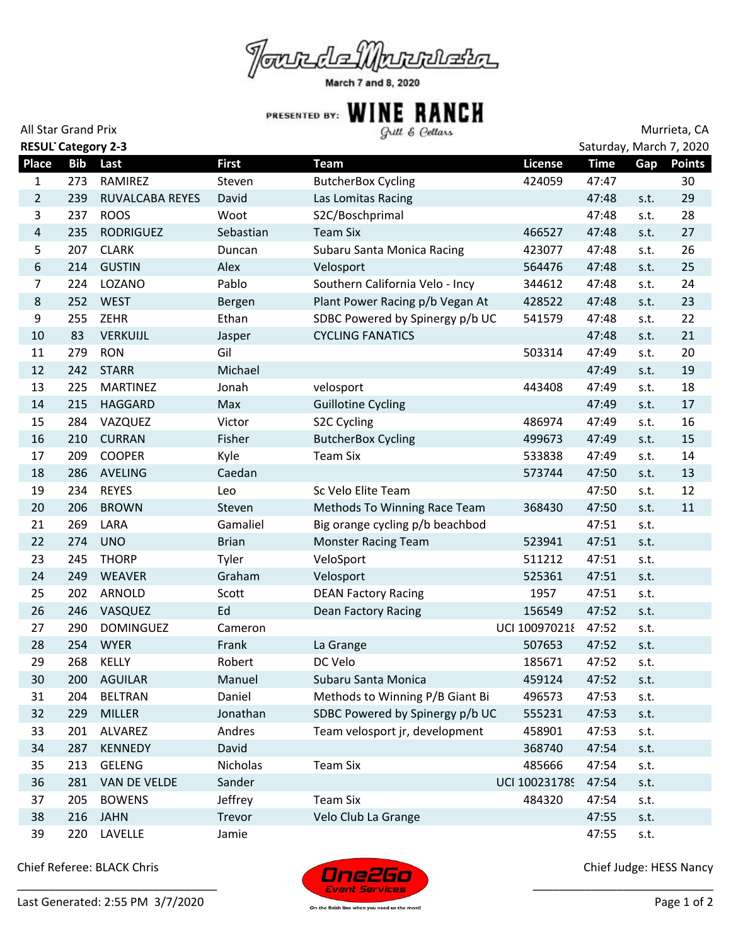

March 7 and 8, 2020

## **All Star Grand Prix Murrieta, CA**<br>All Star Grand Prix **Murrieta, CA**

| <b>RESUL Category 2-3</b><br>Saturday, March 7, 2020 |            |                  |              |                                 |                |             |      |               |  |  |
|------------------------------------------------------|------------|------------------|--------------|---------------------------------|----------------|-------------|------|---------------|--|--|
| <b>Place</b>                                         | <b>Bib</b> | Last             | <b>First</b> | <b>Team</b>                     | <b>License</b> | <b>Time</b> | Gap  | <b>Points</b> |  |  |
| 1                                                    | 273        | RAMIREZ          | Steven       | <b>ButcherBox Cycling</b>       | 424059         | 47:47       |      | 30            |  |  |
| $\overline{2}$                                       | 239        | RUVALCABA REYES  | David        | Las Lomitas Racing              |                | 47:48       | s.t. | 29            |  |  |
| 3                                                    | 237        | <b>ROOS</b>      | Woot         | S2C/Boschprimal                 |                | 47:48       | s.t. | 28            |  |  |
| $\overline{4}$                                       | 235        | <b>RODRIGUEZ</b> | Sebastian    | <b>Team Six</b>                 | 466527         | 47:48       | s.t. | 27            |  |  |
| 5                                                    | 207        | <b>CLARK</b>     | Duncan       | Subaru Santa Monica Racing      | 423077         | 47:48       | s.t. | 26            |  |  |
| $\boldsymbol{6}$                                     | 214        | <b>GUSTIN</b>    | Alex         | Velosport                       | 564476         | 47:48       | s.t. | 25            |  |  |
| $\overline{7}$                                       | 224        | LOZANO           | Pablo        | Southern California Velo - Incy | 344612         | 47:48       | s.t. | 24            |  |  |
| $\,8\,$                                              | 252        | <b>WEST</b>      | Bergen       | Plant Power Racing p/b Vegan At | 428522         | 47:48       | s.t. | 23            |  |  |
| $\boldsymbol{9}$                                     | 255        | ZEHR             | Ethan        | SDBC Powered by Spinergy p/b UC | 541579         | 47:48       | s.t. | 22            |  |  |
| 10                                                   | 83         | <b>VERKUIJL</b>  | Jasper       | <b>CYCLING FANATICS</b>         |                | 47:48       | s.t. | 21            |  |  |
| 11                                                   | 279        | <b>RON</b>       | Gil          |                                 | 503314         | 47:49       | s.t. | 20            |  |  |
| 12                                                   | 242        | <b>STARR</b>     | Michael      |                                 |                | 47:49       | s.t. | 19            |  |  |
| 13                                                   | 225        | <b>MARTINEZ</b>  | Jonah        | velosport                       | 443408         | 47:49       | s.t. | 18            |  |  |
| 14                                                   | 215        | HAGGARD          | Max          | <b>Guillotine Cycling</b>       |                | 47:49       | s.t. | 17            |  |  |
| 15                                                   | 284        | VAZQUEZ          | Victor       | S2C Cycling                     | 486974         | 47:49       | s.t. | 16            |  |  |
| 16                                                   | 210        | <b>CURRAN</b>    | Fisher       | <b>ButcherBox Cycling</b>       | 499673         | 47:49       | s.t. | 15            |  |  |
| 17                                                   | 209        | <b>COOPER</b>    | Kyle         | <b>Team Six</b>                 | 533838         | 47:49       | s.t. | 14            |  |  |
| 18                                                   | 286        | AVELING          | Caedan       |                                 | 573744         | 47:50       | s.t. | 13            |  |  |
| 19                                                   | 234        | <b>REYES</b>     | Leo          | Sc Velo Elite Team              |                | 47:50       | s.t. | 12            |  |  |
| 20                                                   | 206        | <b>BROWN</b>     | Steven       | Methods To Winning Race Team    | 368430         | 47:50       | s.t. | 11            |  |  |
| 21                                                   | 269        | LARA             | Gamaliel     | Big orange cycling p/b beachbod |                | 47:51       | s.t. |               |  |  |
| 22                                                   | 274        | <b>UNO</b>       | <b>Brian</b> | Monster Racing Team             | 523941         | 47:51       | s.t. |               |  |  |
| 23                                                   | 245        | <b>THORP</b>     | Tyler        | VeloSport                       | 511212         | 47:51       | s.t. |               |  |  |
| 24                                                   | 249        | <b>WEAVER</b>    | Graham       | Velosport                       | 525361         | 47:51       | s.t. |               |  |  |
| 25                                                   | 202        | ARNOLD           | Scott        | <b>DEAN Factory Racing</b>      | 1957           | 47:51       | s.t. |               |  |  |
| 26                                                   | 246        | VASQUEZ          | Ed           | Dean Factory Racing             | 156549         | 47:52       | s.t. |               |  |  |
| 27                                                   | 290        | <b>DOMINGUEZ</b> | Cameron      |                                 | UCI 100970218  | 47:52       | s.t. |               |  |  |
| 28                                                   | 254        | <b>WYER</b>      | Frank        | La Grange                       | 507653         | 47:52       | s.t. |               |  |  |
| 29                                                   | 268        | KELLY            | Robert       | DC Velo                         | 185671         | 47:52       | s.t. |               |  |  |
| 30                                                   |            | 200 AGUILAR      | Manuel       | Subaru Santa Monica             | 459124         | 47:52       | s.t. |               |  |  |
| 31                                                   | 204        | <b>BELTRAN</b>   | Daniel       | Methods to Winning P/B Giant Bi | 496573         | 47:53       | s.t. |               |  |  |
| 32                                                   | 229        | <b>MILLER</b>    | Jonathan     | SDBC Powered by Spinergy p/b UC | 555231         | 47:53       | s.t. |               |  |  |
| 33                                                   | 201        | ALVAREZ          | Andres       | Team velosport jr, development  | 458901         | 47:53       | s.t. |               |  |  |
| 34                                                   | 287        | <b>KENNEDY</b>   | David        |                                 | 368740         | 47:54       | s.t. |               |  |  |
| 35                                                   | 213        | <b>GELENG</b>    | Nicholas     | <b>Team Six</b>                 | 485666         | 47:54       | s.t. |               |  |  |
| 36                                                   | 281        | VAN DE VELDE     | Sander       |                                 | UCI 100231789  | 47:54       | s.t. |               |  |  |
| 37                                                   | 205        | <b>BOWENS</b>    | Jeffrey      | <b>Team Six</b>                 | 484320         | 47:54       | s.t. |               |  |  |
| 38                                                   | 216        | <b>JAHN</b>      | Trevor       | Velo Club La Grange             |                | 47:55       | s.t. |               |  |  |
| 39                                                   | 220        | LAVELLE          | Jamie        |                                 |                | 47:55       | s.t. |               |  |  |

Chief Referee: BLACK Chris





Chief Judge: HESS Nancy

\_\_\_\_\_\_\_\_\_\_\_\_\_\_\_\_\_\_\_\_\_\_\_\_\_\_\_\_